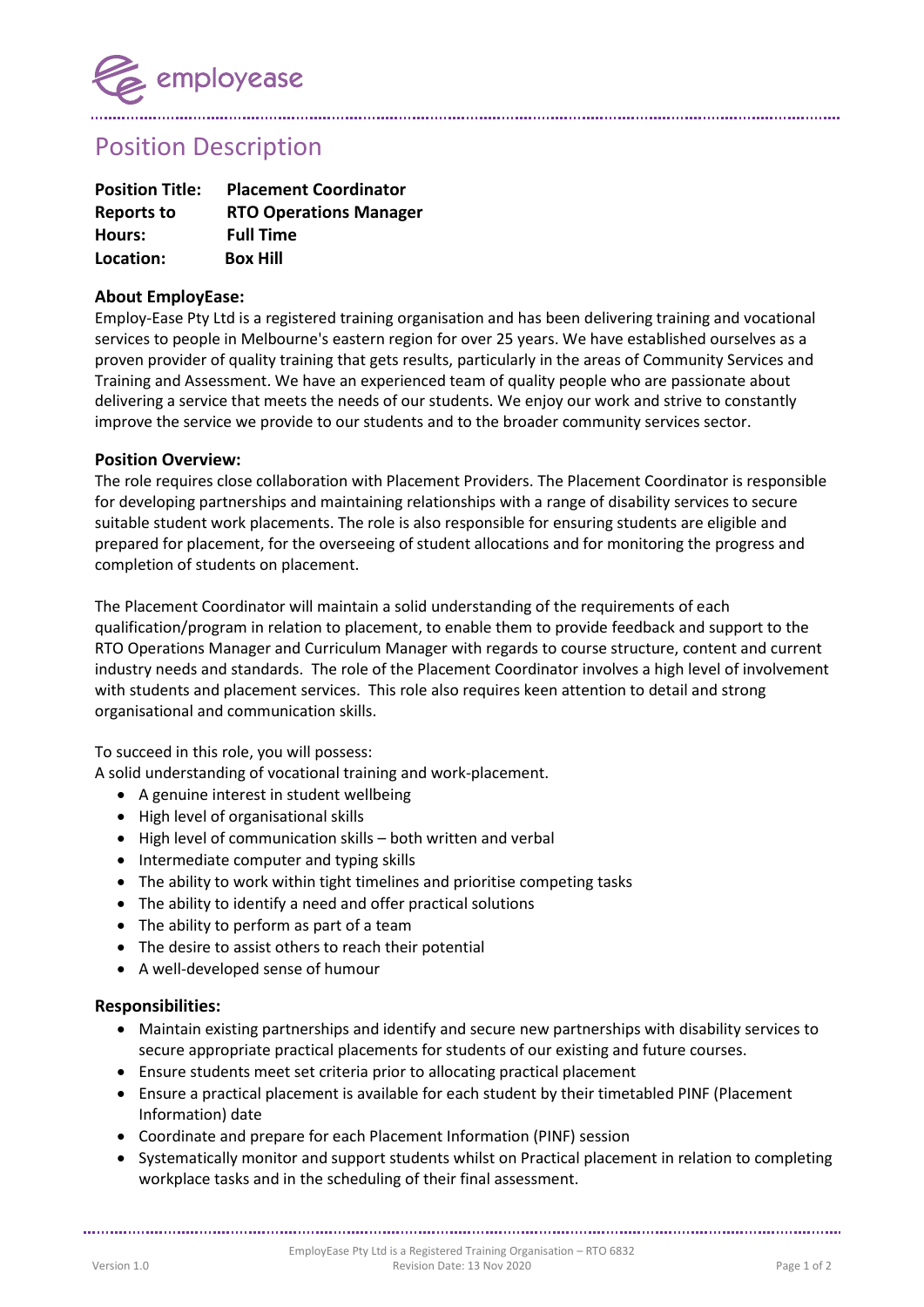

Position Description

| <b>Position Title:</b> | <b>Placement Coordinator</b>  |
|------------------------|-------------------------------|
| Reports to             | <b>RTO Operations Manager</b> |
| Hours:                 | <b>Full Time</b>              |
| Location:              | <b>Box Hill</b>               |

## **About EmployEase:**

Employ-Ease Pty Ltd is a registered training organisation and has been delivering training and vocational services to people in Melbourne's eastern region for over 25 years. We have established ourselves as a proven provider of quality training that gets results, particularly in the areas of Community Services and Training and Assessment. We have an experienced team of quality people who are passionate about delivering a service that meets the needs of our students. We enjoy our work and strive to constantly improve the service we provide to our students and to the broader community services sector.

## **Position Overview:**

The role requires close collaboration with Placement Providers. The Placement Coordinator is responsible for developing partnerships and maintaining relationships with a range of disability services to secure suitable student work placements. The role is also responsible for ensuring students are eligible and prepared for placement, for the overseeing of student allocations and for monitoring the progress and completion of students on placement.

The Placement Coordinator will maintain a solid understanding of the requirements of each qualification/program in relation to placement, to enable them to provide feedback and support to the RTO Operations Manager and Curriculum Manager with regards to course structure, content and current industry needs and standards. The role of the Placement Coordinator involves a high level of involvement with students and placement services. This role also requires keen attention to detail and strong organisational and communication skills.

To succeed in this role, you will possess:

A solid understanding of vocational training and work-placement.

- A genuine interest in student wellbeing
- High level of organisational skills
- High level of communication skills both written and verbal
- Intermediate computer and typing skills
- The ability to work within tight timelines and prioritise competing tasks
- The ability to identify a need and offer practical solutions
- The ability to perform as part of a team
- The desire to assist others to reach their potential
- A well-developed sense of humour

## **Responsibilities:**

- Maintain existing partnerships and identify and secure new partnerships with disability services to secure appropriate practical placements for students of our existing and future courses.
- Ensure students meet set criteria prior to allocating practical placement
- Ensure a practical placement is available for each student by their timetabled PINF (Placement Information) date
- Coordinate and prepare for each Placement Information (PINF) session
- Systematically monitor and support students whilst on Practical placement in relation to completing workplace tasks and in the scheduling of their final assessment.